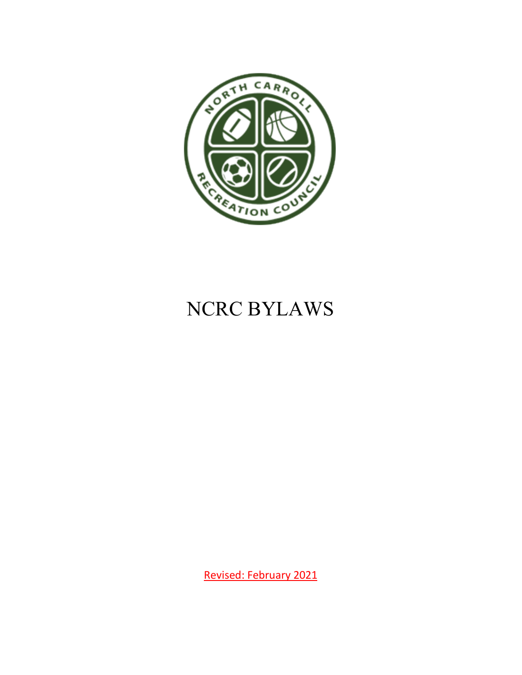

# NCRC BYLAWS

Revised: February 2021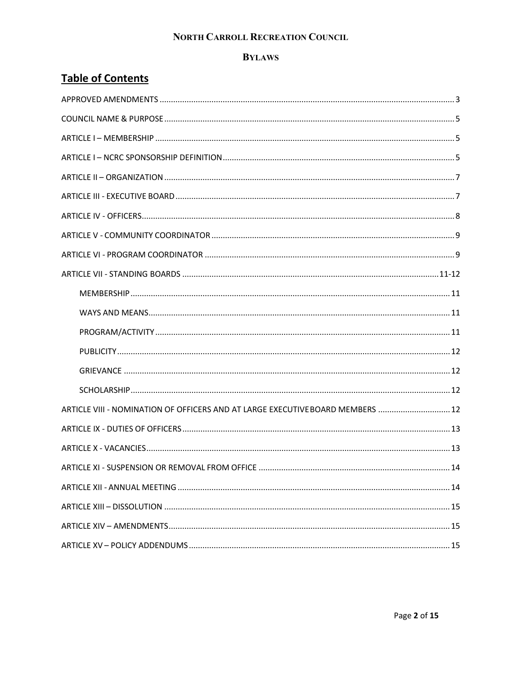#### **BYLAWS**

### **Table of Contents**

| ARTICLE VIII - NOMINATION OF OFFICERS AND AT LARGE EXECUTIVE BOARD MEMBERS  12 |  |
|--------------------------------------------------------------------------------|--|
|                                                                                |  |
|                                                                                |  |
|                                                                                |  |
|                                                                                |  |
|                                                                                |  |
|                                                                                |  |
|                                                                                |  |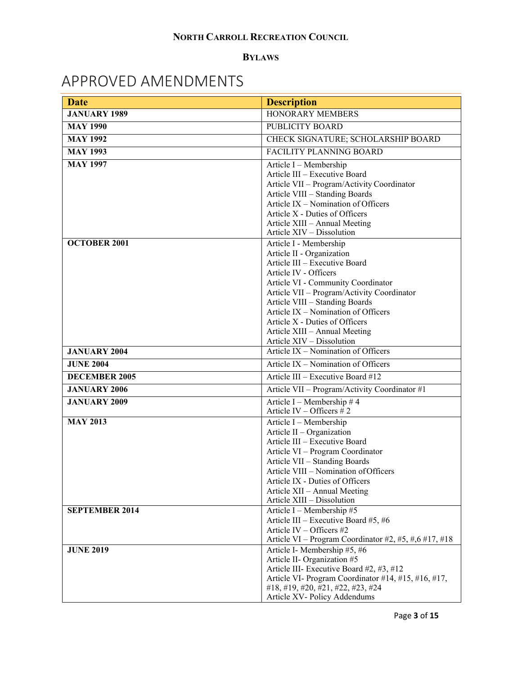#### **BYLAWS**

## <span id="page-2-0"></span>APPROVED AMENDMENTS

| <b>Date</b>           | <b>Description</b>                                                    |  |
|-----------------------|-----------------------------------------------------------------------|--|
| <b>JANUARY 1989</b>   | <b>HONORARY MEMBERS</b>                                               |  |
| <b>MAY 1990</b>       | PUBLICITY BOARD                                                       |  |
| <b>MAY 1992</b>       | CHECK SIGNATURE; SCHOLARSHIP BOARD                                    |  |
| <b>MAY 1993</b>       | <b>FACILITY PLANNING BOARD</b>                                        |  |
| <b>MAY 1997</b>       | Article I - Membership                                                |  |
|                       | Article III - Executive Board                                         |  |
|                       | Article VII - Program/Activity Coordinator                            |  |
|                       | Article VIII - Standing Boards                                        |  |
|                       | Article $IX - N$ omination of Officers                                |  |
|                       | Article X - Duties of Officers<br>Article XIII - Annual Meeting       |  |
|                       | Article XIV - Dissolution                                             |  |
| <b>OCTOBER 2001</b>   | Article I - Membership                                                |  |
|                       | Article II - Organization                                             |  |
|                       | Article III - Executive Board                                         |  |
|                       | Article IV - Officers                                                 |  |
|                       | Article VI - Community Coordinator                                    |  |
|                       | Article VII - Program/Activity Coordinator                            |  |
|                       | Article VIII - Standing Boards<br>Article IX - Nomination of Officers |  |
|                       | Article X - Duties of Officers                                        |  |
|                       | Article XIII - Annual Meeting                                         |  |
|                       | Article XIV - Dissolution                                             |  |
| <b>JANUARY 2004</b>   | Article IX - Nomination of Officers                                   |  |
| <b>JUNE 2004</b>      | Article IX - Nomination of Officers                                   |  |
| <b>DECEMBER 2005</b>  | Article III - Executive Board #12                                     |  |
| <b>JANUARY 2006</b>   | Article VII - Program/Activity Coordinator #1                         |  |
| <b>JANUARY 2009</b>   | Article I – Membership # 4                                            |  |
|                       | Article IV - Officers $# 2$                                           |  |
| <b>MAY 2013</b>       | Article I - Membership                                                |  |
|                       | Article II - Organization<br>Article III - Executive Board            |  |
|                       | Article VI - Program Coordinator                                      |  |
|                       | Article VII - Standing Boards                                         |  |
|                       | Article VIII - Nomination of Officers                                 |  |
|                       | Article IX - Duties of Officers                                       |  |
|                       | Article XII - Annual Meeting                                          |  |
|                       | Article XIII – Dissolution                                            |  |
| <b>SEPTEMBER 2014</b> | Article I - Membership #5                                             |  |
|                       | Article III – Executive Board #5, #6<br>Article IV - Officers #2      |  |
|                       | Article VI – Program Coordinator #2, #5, #,6 #17, #18                 |  |
| <b>JUNE 2019</b>      | Article I- Membership #5, #6                                          |  |
|                       | Article II- Organization #5                                           |  |
|                       | Article III- Executive Board #2, #3, #12                              |  |
|                       | Article VI- Program Coordinator #14, #15, #16, #17,                   |  |
|                       | #18, #19, #20, #21, #22, #23, #24                                     |  |
|                       | Article XV- Policy Addendums                                          |  |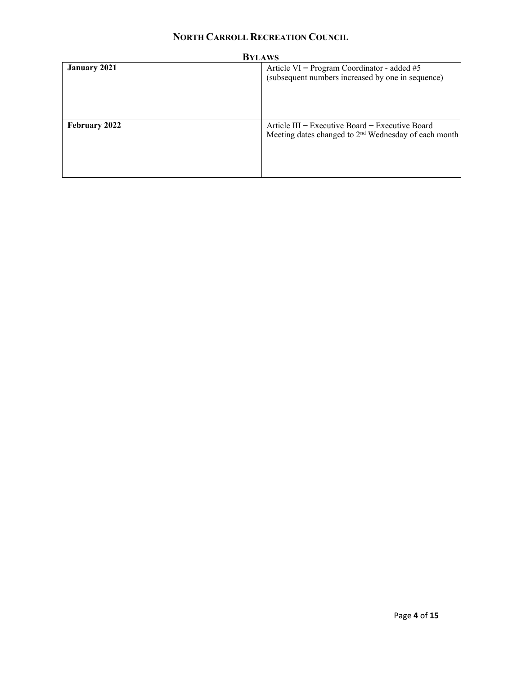| <b>BYLAWS</b>        |                                                                                                                     |  |
|----------------------|---------------------------------------------------------------------------------------------------------------------|--|
| <b>January 2021</b>  | Article VI – Program Coordinator - added #5<br>(subsequent numbers increased by one in sequence)                    |  |
| <b>February 2022</b> | Article III – Executive Board – Executive Board<br>Meeting dates changed to 2 <sup>nd</sup> Wednesday of each month |  |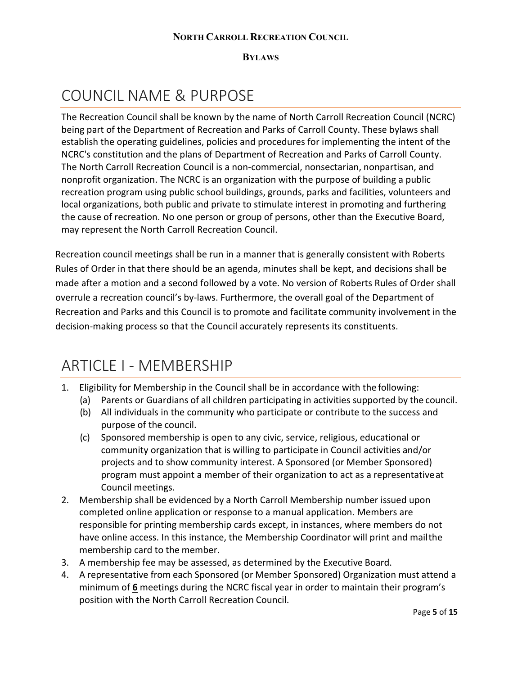**BYLAWS**

### <span id="page-4-0"></span>COUNCIL NAME & PURPOSE

The Recreation Council shall be known by the name of North Carroll Recreation Council (NCRC) being part of the Department of Recreation and Parks of Carroll County. These bylaws shall establish the operating guidelines, policies and procedures for implementing the intent of the NCRC's constitution and the plans of Department of Recreation and Parks of Carroll County. The North Carroll Recreation Council is a non-commercial, nonsectarian, nonpartisan, and nonprofit organization. The NCRC is an organization with the purpose of building a public recreation program using public school buildings, grounds, parks and facilities, volunteers and local organizations, both public and private to stimulate interest in promoting and furthering the cause of recreation. No one person or group of persons, other than the Executive Board, may represent the North Carroll Recreation Council.

Recreation council meetings shall be run in a manner that is generally consistent with Roberts Rules of Order in that there should be an agenda, minutes shall be kept, and decisions shall be made after a motion and a second followed by a vote. No version of Roberts Rules of Order shall overrule a recreation council's by-laws. Furthermore, the overall goal of the Department of Recreation and Parks and this Council is to promote and facilitate community involvement in the decision-making process so that the Council accurately represents its constituents.

### <span id="page-4-1"></span>ARTICLE I - MEMBERSHIP

- 1. Eligibility for Membership in the Council shall be in accordance with the following:
	- (a) Parents or Guardians of all children participating in activities supported by the council.
	- (b) All individuals in the community who participate or contribute to the success and purpose of the council.
	- (c) Sponsored membership is open to any civic, service, religious, educational or community organization that is willing to participate in Council activities and/or projects and to show community interest. A Sponsored (or Member Sponsored) program must appoint a member of their organization to act as a representativeat Council meetings.
- 2. Membership shall be evidenced by a North Carroll Membership number issued upon completed online application or response to a manual application. Members are responsible for printing membership cards except, in instances, where members do not have online access. In this instance, the Membership Coordinator will print and mailthe membership card to the member.
- 3. A membership fee may be assessed, as determined by the Executive Board.
- 4. A representative from each Sponsored (or Member Sponsored) Organization must attend a minimum of **6** meetings during the NCRC fiscal year in order to maintain their program's position with the North Carroll Recreation Council.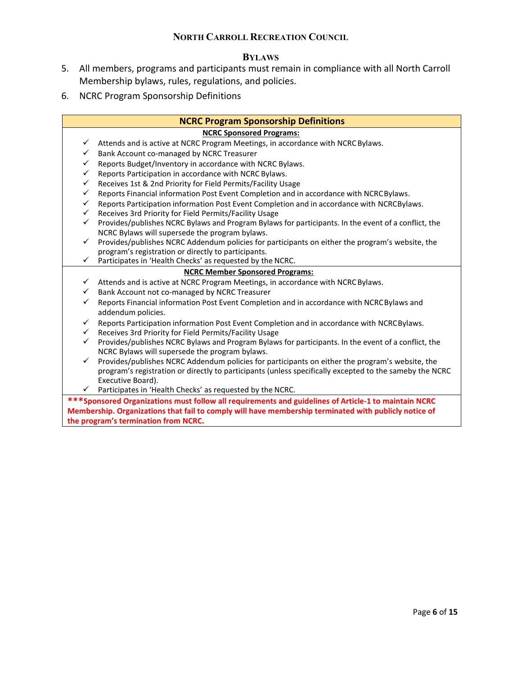#### **BYLAWS**

- 5. All members, programs and participants must remain in compliance with all North Carroll Membership bylaws, rules, regulations, and policies.
- 6. NCRC Program Sponsorship Definitions

#### **NCRC Program Sponsorship Definitions**

#### **NCRC Sponsored Programs:**

- $\checkmark$  Attends and is active at NCRC Program Meetings, in accordance with NCRC Bylaws.
- Bank Account co-managed by NCRC Treasurer
- Reports Budget/Inventory in accordance with NCRC Bylaws.
- Example Participation in accordance with NCRC Bylaws.<br>
Faceives 1st & 2nd Priority for Field Permits/Facility Us
- Receives 1st & 2nd Priority for Field Permits/Facility Usage
- Reports Financial information Post Event Completion and in accordance with NCRCBylaws.
- Reports Participation information Post Event Completion and in accordance with NCRCBylaws.
- Receives 3rd Priority for Field Permits/Facility Usage
- Provides/publishes NCRC Bylaws and Program Bylaws for participants. In the event of a conflict, the NCRC Bylaws will supersede the program bylaws.
- $\checkmark$  Provides/publishes NCRC Addendum policies for participants on either the program's website, the program's registration or directly to participants.
- $\checkmark$  Participates in 'Health Checks' as requested by the NCRC.

#### **NCRC Member Sponsored Programs:**

- $\checkmark$  Attends and is active at NCRC Program Meetings, in accordance with NCRC Bylaws.
- Bank Account not co-managed by NCRC Treasurer
- $\checkmark$  Reports Financial information Post Event Completion and in accordance with NCRC Bylaws and addendum policies.
- $\checkmark$  Reports Participation information Post Event Completion and in accordance with NCRCBylaws.
- Receives 3rd Priority for Field Permits/Facility Usage
- $\checkmark$  Provides/publishes NCRC Bylaws and Program Bylaws for participants. In the event of a conflict, the NCRC Bylaws will supersede the program bylaws.
- $\checkmark$  Provides/publishes NCRC Addendum policies for participants on either the program's website, the program's registration or directly to participants (unless specifically excepted to the sameby the NCRC Executive Board).
- $\checkmark$  Participates in 'Health Checks' as requested by the NCRC.

**\*\*\*Sponsored Organizations must follow all requirements and guidelines of Article-1 to maintain NCRC Membership. Organizations that fail to comply will have membership terminated with publicly notice of the program's termination from NCRC.**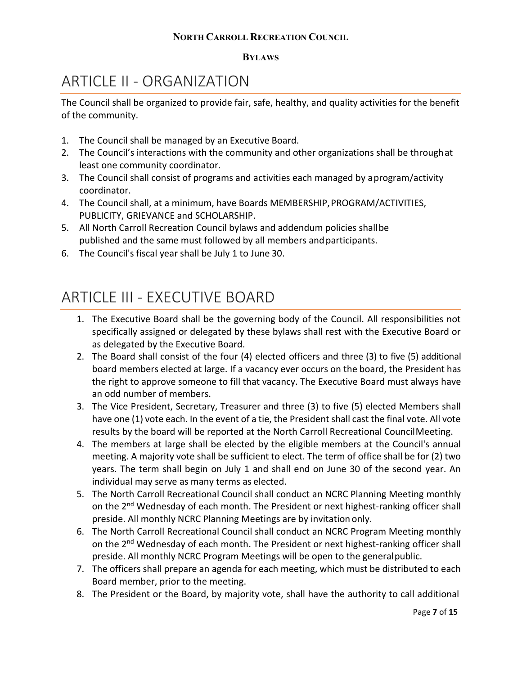#### **BYLAWS**

## <span id="page-6-0"></span>ARTICLE II - ORGANIZATION

The Council shall be organized to provide fair, safe, healthy, and quality activities for the benefit of the community.

- 1. The Council shall be managed by an Executive Board.
- 2. The Council's interactions with the community and other organizations shall be throughat least one community coordinator.
- 3. The Council shall consist of programs and activities each managed by aprogram/activity coordinator.
- 4. The Council shall, at a minimum, have Boards MEMBERSHIP,PROGRAM/ACTIVITIES, PUBLICITY, GRIEVANCE and SCHOLARSHIP.
- 5. All North Carroll Recreation Council bylaws and addendum policies shallbe published and the same must followed by all members andparticipants.
- 6. The Council's fiscal year shall be July 1 to June 30.

### <span id="page-6-1"></span>ARTICLE III - EXECUTIVE BOARD

- 1. The Executive Board shall be the governing body of the Council. All responsibilities not specifically assigned or delegated by these bylaws shall rest with the Executive Board or as delegated by the Executive Board.
- 2. The Board shall consist of the four (4) elected officers and three (3) to five (5) additional board members elected at large. If a vacancy ever occurs on the board, the President has the right to approve someone to fill that vacancy. The Executive Board must always have an odd number of members.
- 3. The Vice President, Secretary, Treasurer and three (3) to five (5) elected Members shall have one (1) vote each. In the event of a tie, the President shall cast the final vote. All vote results by the board will be reported at the North Carroll Recreational CouncilMeeting.
- 4. The members at large shall be elected by the eligible members at the Council's annual meeting. A majority vote shall be sufficient to elect. The term of office shall be for (2) two years. The term shall begin on July 1 and shall end on June 30 of the second year. An individual may serve as many terms as elected.
- 5. The North Carroll Recreational Council shall conduct an NCRC Planning Meeting monthly on the 2<sup>nd</sup> Wednesday of each month. The President or next highest-ranking officer shall preside. All monthly NCRC Planning Meetings are by invitation only.
- 6. The North Carroll Recreational Council shall conduct an NCRC Program Meeting monthly on the 2<sup>nd</sup> Wednesday of each month. The President or next highest-ranking officer shall preside. All monthly NCRC Program Meetings will be open to the generalpublic.
- 7. The officers shall prepare an agenda for each meeting, which must be distributed to each Board member, prior to the meeting.
- 8. The President or the Board, by majority vote, shall have the authority to call additional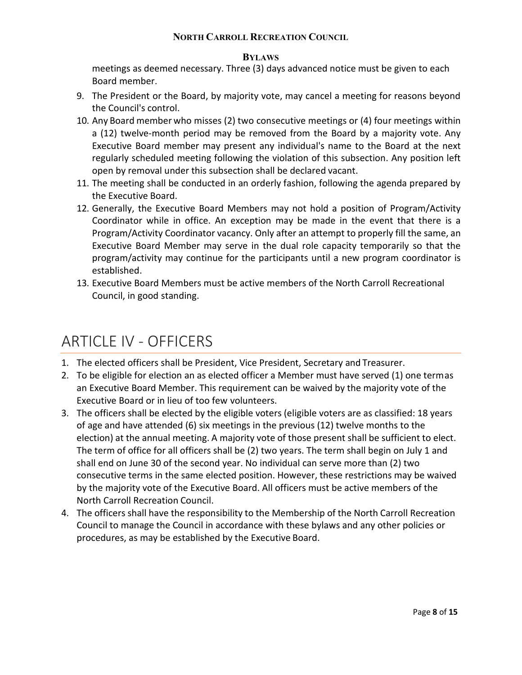#### **BYLAWS**

meetings as deemed necessary. Three (3) days advanced notice must be given to each Board member.

- 9. The President or the Board, by majority vote, may cancel a meeting for reasons beyond the Council's control.
- 10. Any Board member who misses (2) two consecutive meetings or (4) four meetings within a (12) twelve-month period may be removed from the Board by a majority vote. Any Executive Board member may present any individual's name to the Board at the next regularly scheduled meeting following the violation of this subsection. Any position left open by removal under this subsection shall be declared vacant.
- 11. The meeting shall be conducted in an orderly fashion, following the agenda prepared by the Executive Board.
- 12. Generally, the Executive Board Members may not hold a position of Program/Activity Coordinator while in office. An exception may be made in the event that there is a Program/Activity Coordinator vacancy. Only after an attempt to properly fill the same, an Executive Board Member may serve in the dual role capacity temporarily so that the program/activity may continue for the participants until a new program coordinator is established.
- 13. Executive Board Members must be active members of the North Carroll Recreational Council, in good standing.

## <span id="page-7-0"></span>ARTICLE IV - OFFICERS

- 1. The elected officers shall be President, Vice President, Secretary and Treasurer.
- 2. To be eligible for election an as elected officer a Member must have served (1) one termas an Executive Board Member. This requirement can be waived by the majority vote of the Executive Board or in lieu of too few volunteers.
- 3. The officers shall be elected by the eligible voters (eligible voters are as classified: 18 years of age and have attended (6) six meetings in the previous (12) twelve months to the election) at the annual meeting. A majority vote of those present shall be sufficient to elect. The term of office for all officers shall be (2) two years. The term shall begin on July 1 and shall end on June 30 of the second year. No individual can serve more than (2) two consecutive terms in the same elected position. However, these restrictions may be waived by the majority vote of the Executive Board. All officers must be active members of the North Carroll Recreation Council.
- 4. The officers shall have the responsibility to the Membership of the North Carroll Recreation Council to manage the Council in accordance with these bylaws and any other policies or procedures, as may be established by the Executive Board.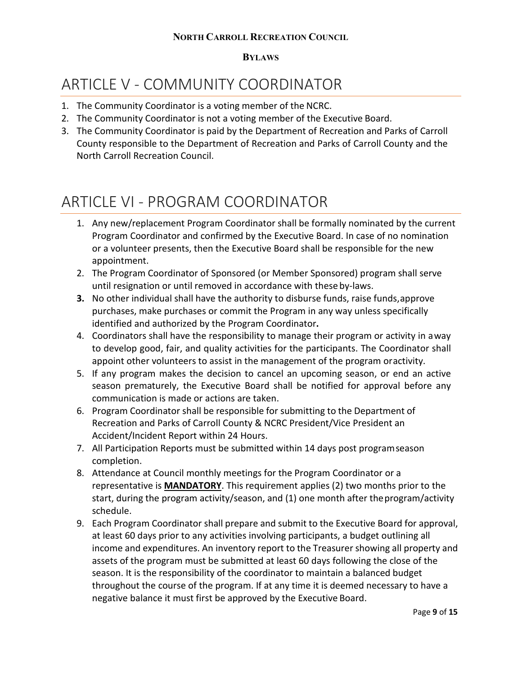#### **BYLAWS**

## <span id="page-8-0"></span>ARTICLE V - COMMUNITY COORDINATOR

- 1. The Community Coordinator is a voting member of the NCRC.
- 2. The Community Coordinator is not a voting member of the Executive Board.
- 3. The Community Coordinator is paid by the Department of Recreation and Parks of Carroll County responsible to the Department of Recreation and Parks of Carroll County and the North Carroll Recreation Council.

## <span id="page-8-1"></span>ARTICLE VI - PROGRAM COORDINATOR

- 1. Any new/replacement Program Coordinator shall be formally nominated by the current Program Coordinator and confirmed by the Executive Board. In case of no nomination or a volunteer presents, then the Executive Board shall be responsible for the new appointment.
- 2. The Program Coordinator of Sponsored (or Member Sponsored) program shall serve until resignation or until removed in accordance with these by-laws.
- **3.** No other individual shall have the authority to disburse funds, raise funds, approve purchases, make purchases or commit the Program in any way unless specifically identified and authorized by the Program Coordinator**.**
- 4. Coordinators shall have the responsibility to manage their program or activity in away to develop good, fair, and quality activities for the participants. The Coordinator shall appoint other volunteers to assist in the management of the program oractivity.
- 5. If any program makes the decision to cancel an upcoming season, or end an active season prematurely, the Executive Board shall be notified for approval before any communication is made or actions are taken.
- 6. Program Coordinator shall be responsible for submitting to the Department of Recreation and Parks of Carroll County & NCRC President/Vice President an Accident/Incident Report within 24 Hours.
- 7. All Participation Reports must be submitted within 14 days post programseason completion.
- 8. Attendance at Council monthly meetings for the Program Coordinator or a representative is **MANDATORY**. This requirement applies (2) two months prior to the start, during the program activity/season, and (1) one month after theprogram/activity schedule.
- 9. Each Program Coordinator shall prepare and submit to the Executive Board for approval, at least 60 days prior to any activities involving participants, a budget outlining all income and expenditures. An inventory report to the Treasurer showing all property and assets of the program must be submitted at least 60 days following the close of the season. It is the responsibility of the coordinator to maintain a balanced budget throughout the course of the program. If at any time it is deemed necessary to have a negative balance it must first be approved by the Executive Board.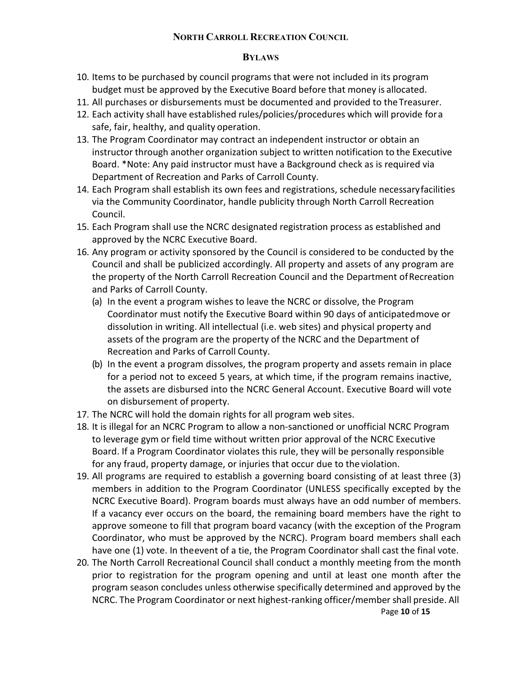#### **BYLAWS**

- 10. Items to be purchased by council programs that were not included in its program budget must be approved by the Executive Board before that money is allocated.
- 11. All purchases or disbursements must be documented and provided to theTreasurer.
- 12. Each activity shall have established rules/policies/procedures which will provide fora safe, fair, healthy, and quality operation.
- 13. The Program Coordinator may contract an independent instructor or obtain an instructor through another organization subject to written notification to the Executive Board. \*Note: Any paid instructor must have a Background check as is required via Department of Recreation and Parks of Carroll County.
- 14. Each Program shall establish its own fees and registrations, schedule necessaryfacilities via the Community Coordinator, handle publicity through North Carroll Recreation Council.
- 15. Each Program shall use the NCRC designated registration process as established and approved by the NCRC Executive Board.
- 16. Any program or activity sponsored by the Council is considered to be conducted by the Council and shall be publicized accordingly. All property and assets of any program are the property of the North Carroll Recreation Council and the Department ofRecreation and Parks of Carroll County.
	- (a) In the event a program wishes to leave the NCRC or dissolve, the Program Coordinator must notify the Executive Board within 90 days of anticipatedmove or dissolution in writing. All intellectual (i.e. web sites) and physical property and assets of the program are the property of the NCRC and the Department of Recreation and Parks of Carroll County.
	- (b) In the event a program dissolves, the program property and assets remain in place for a period not to exceed 5 years, at which time, if the program remains inactive, the assets are disbursed into the NCRC General Account. Executive Board will vote on disbursement of property.
- 17. The NCRC will hold the domain rights for all program web sites.
- 18. It is illegal for an NCRC Program to allow a non-sanctioned or unofficial NCRC Program to leverage gym or field time without written prior approval of the NCRC Executive Board. If a Program Coordinator violates this rule, they will be personally responsible for any fraud, property damage, or injuries that occur due to the violation.
- 19. All programs are required to establish a governing board consisting of at least three (3) members in addition to the Program Coordinator (UNLESS specifically excepted by the NCRC Executive Board). Program boards must always have an odd number of members. If a vacancy ever occurs on the board, the remaining board members have the right to approve someone to fill that program board vacancy (with the exception of the Program Coordinator, who must be approved by the NCRC). Program board members shall each have one (1) vote. In theevent of a tie, the Program Coordinator shall cast the final vote.
- 20. The North Carroll Recreational Council shall conduct a monthly meeting from the month prior to registration for the program opening and until at least one month after the program season concludes unless otherwise specifically determined and approved by the NCRC. The Program Coordinator or next highest-ranking officer/member shall preside. All

Page **10** of **15**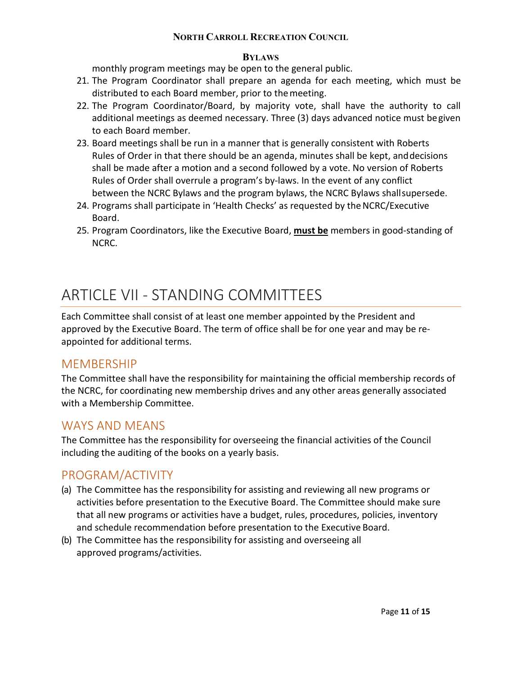#### **BYLAWS**

monthly program meetings may be open to the general public.

- 21. The Program Coordinator shall prepare an agenda for each meeting, which must be distributed to each Board member, prior to themeeting.
- 22. The Program Coordinator/Board, by majority vote, shall have the authority to call additional meetings as deemed necessary. Three (3) days advanced notice must begiven to each Board member.
- 23. Board meetings shall be run in a manner that is generally consistent with Roberts Rules of Order in that there should be an agenda, minutes shall be kept, anddecisions shall be made after a motion and a second followed by a vote. No version of Roberts Rules of Order shall overrule a program's by-laws. In the event of any conflict between the NCRC Bylaws and the program bylaws, the NCRC Bylaws shallsupersede.
- 24. Programs shall participate in 'Health Checks' as requested by the NCRC/Executive Board.
- 25. Program Coordinators, like the Executive Board, **must be** members in good-standing of NCRC.

## ARTICLE VII - STANDING COMMITTEES

Each Committee shall consist of at least one member appointed by the President and approved by the Executive Board. The term of office shall be for one year and may be reappointed for additional terms.

### <span id="page-10-0"></span>MEMBERSHIP

The Committee shall have the responsibility for maintaining the official membership records of the NCRC, for coordinating new membership drives and any other areas generally associated with a Membership Committee.

### <span id="page-10-1"></span>WAYS AND MEANS

The Committee has the responsibility for overseeing the financial activities of the Council including the auditing of the books on a yearly basis.

### <span id="page-10-2"></span>PROGRAM/ACTIVITY

- (a) The Committee has the responsibility for assisting and reviewing all new programs or activities before presentation to the Executive Board. The Committee should make sure that all new programs or activities have a budget, rules, procedures, policies, inventory and schedule recommendation before presentation to the Executive Board.
- <span id="page-10-3"></span>(b) The Committee has the responsibility for assisting and overseeing all approved programs/activities.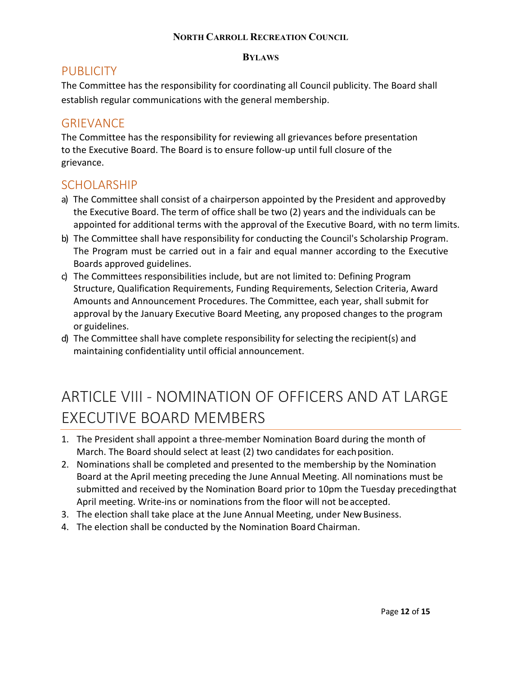#### **BYLAWS**

### **PUBLICITY**

The Committee has the responsibility for coordinating all Council publicity. The Board shall establish regular communications with the general membership.

### <span id="page-11-0"></span>**GRIEVANCE**

The Committee has the responsibility for reviewing all grievances before presentation to the Executive Board. The Board is to ensure follow-up until full closure of the grievance.

### <span id="page-11-1"></span>SCHOLARSHIP

- a) The Committee shall consist of a chairperson appointed by the President and approvedby the Executive Board. The term of office shall be two (2) years and the individuals can be appointed for additional terms with the approval of the Executive Board, with no term limits.
- b) The Committee shall have responsibility for conducting the Council's Scholarship Program. The Program must be carried out in a fair and equal manner according to the Executive Boards approved guidelines.
- c) The Committees responsibilities include, but are not limited to: Defining Program Structure, Qualification Requirements, Funding Requirements, Selection Criteria, Award Amounts and Announcement Procedures. The Committee, each year, shall submit for approval by the January Executive Board Meeting, any proposed changes to the program or guidelines.
- d) The Committee shall have complete responsibility for selecting the recipient(s) and maintaining confidentiality until official announcement.

# <span id="page-11-2"></span>ARTICLE VIII - NOMINATION OF OFFICERS AND AT LARGE EXECUTIVE BOARD MEMBERS

- 1. The President shall appoint a three-member Nomination Board during the month of March. The Board should select at least (2) two candidates for eachposition.
- 2. Nominations shall be completed and presented to the membership by the Nomination Board at the April meeting preceding the June Annual Meeting. All nominations must be submitted and received by the Nomination Board prior to 10pm the Tuesday precedingthat April meeting. Write-ins or nominations from the floor will not be accepted.
- 3. The election shall take place at the June Annual Meeting, under New Business.
- 4. The election shall be conducted by the Nomination Board Chairman.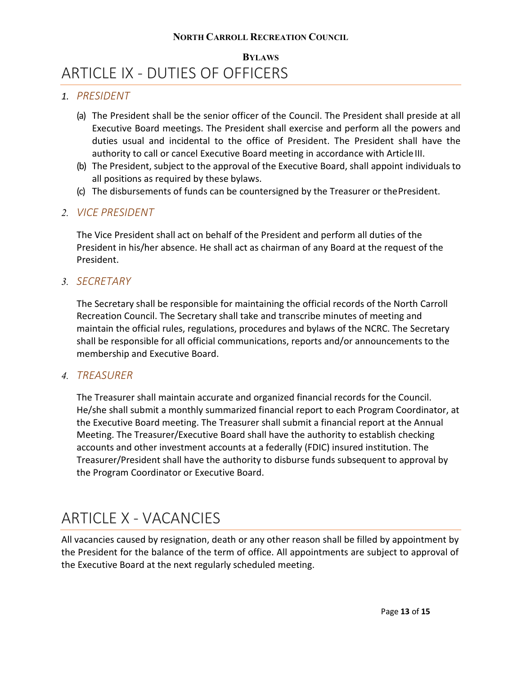### <span id="page-12-0"></span>**BYLAWS** ARTICLE IX - DUTIES OF OFFICERS

#### *1. PRESIDENT*

- (a) The President shall be the senior officer of the Council. The President shall preside at all Executive Board meetings. The President shall exercise and perform all the powers and duties usual and incidental to the office of President. The President shall have the authority to call or cancel Executive Board meeting in accordance with ArticleIII.
- (b) The President, subject to the approval of the Executive Board, shall appoint individuals to all positions as required by these bylaws.
- (c) The disbursements of funds can be countersigned by the Treasurer or thePresident.

#### *2. VICE PRESIDENT*

The Vice President shall act on behalf of the President and perform all duties of the President in his/her absence. He shall act as chairman of any Board at the request of the President.

#### *3. SECRETARY*

The Secretary shall be responsible for maintaining the official records of the North Carroll Recreation Council. The Secretary shall take and transcribe minutes of meeting and maintain the official rules, regulations, procedures and bylaws of the NCRC. The Secretary shall be responsible for all official communications, reports and/or announcements to the membership and Executive Board.

#### *4. TREASURER*

The Treasurer shall maintain accurate and organized financial records for the Council. He/she shall submit a monthly summarized financial report to each Program Coordinator, at the Executive Board meeting. The Treasurer shall submit a financial report at the Annual Meeting. The Treasurer/Executive Board shall have the authority to establish checking accounts and other investment accounts at a federally (FDIC) insured institution. The Treasurer/President shall have the authority to disburse funds subsequent to approval by the Program Coordinator or Executive Board.

### <span id="page-12-1"></span>ARTICLE X - VACANCIES

All vacancies caused by resignation, death or any other reason shall be filled by appointment by the President for the balance of the term of office. All appointments are subject to approval of the Executive Board at the next regularly scheduled meeting.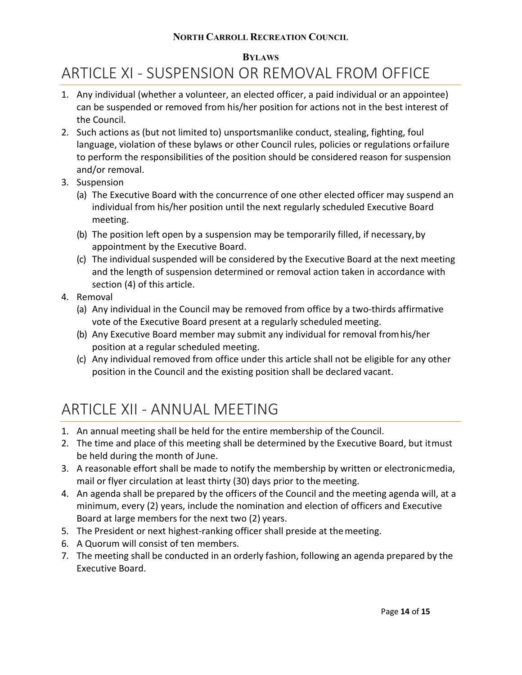#### **BYLAWS**

## <span id="page-13-0"></span>ARTICLE XI - SUSPENSION OR REMOVAL FROM OFFICE

- 1. Any individual (whether a volunteer, an elected officer, a paid individual or an appointee) can be suspended or removed from his/her position for actions not in the best interest of the Council.
- 2. Such actions as (but not limited to) unsportsmanlike conduct, stealing, fighting, foul language, violation of these bylaws or other Council rules, policies or regulations orfailure to perform the responsibilities of the position should be considered reason for suspension and/or removal.
- 3. Suspension
	- (a) The Executive Board with the concurrence of one other elected officer may suspend an individual from his/her position until the next regularly scheduled Executive Board meeting.
	- (b) The position left open by a suspension may be temporarily filled, if necessary,by appointment by the Executive Board.
	- (c) The individual suspended will be considered by the Executive Board at the next meeting and the length of suspension determined or removal action taken in accordance with section (4) of this article.
- 4. Removal
	- (a) Any individual in the Council may be removed from office by a two-thirds affirmative vote of the Executive Board present at a regularly scheduled meeting.
	- (b) Any Executive Board member may submit any individual for removal fromhis/her position at a regular scheduled meeting.
	- (c) Any individual removed from office under this article shall not be eligible for any other position in the Council and the existing position shall be declared vacant.

## <span id="page-13-1"></span>ARTICLE XII - ANNUAL MEETING

- 1. An annual meeting shall be held for the entire membership of the Council.
- 2. The time and place of this meeting shall be determined by the Executive Board, but itmust be held during the month of June.
- 3. A reasonable effort shall be made to notify the membership by written or electronicmedia, mail or flyer circulation at least thirty (30) days prior to the meeting.
- 4. An agenda shall be prepared by the officers of the Council and the meeting agenda will, at a minimum, every (2) years, include the nomination and election of officers and Executive Board at large members for the next two (2) years.
- 5. The President or next highest-ranking officer shall preside at themeeting.
- 6. A Quorum will consist of ten members.
- 7. The meeting shall be conducted in an orderly fashion, following an agenda prepared by the Executive Board.